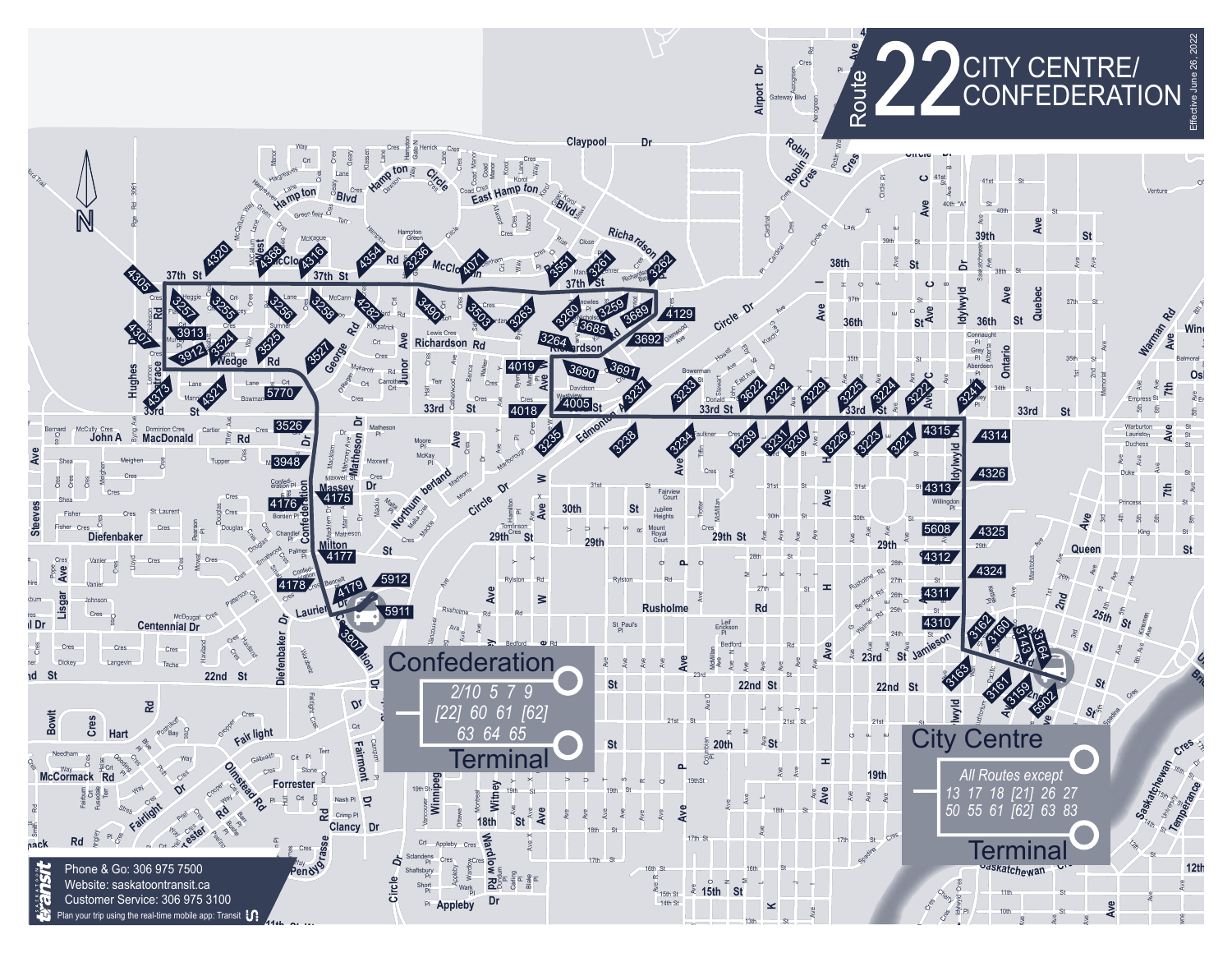